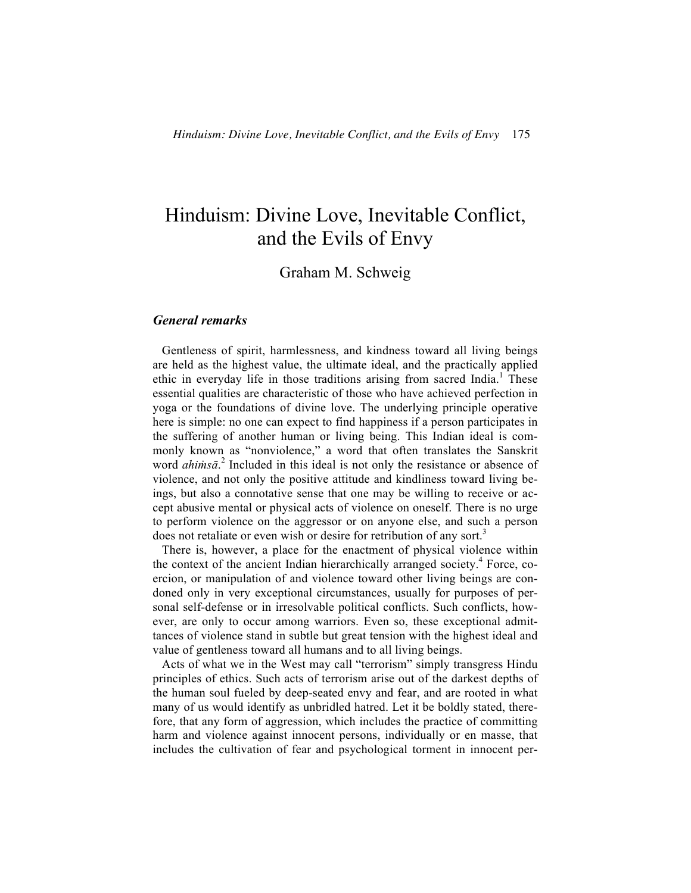# Hinduism: Divine Love, Inevitable Conflict, and the Evils of Envy

# Graham M. Schweig

## *General remarks*

 Gentleness of spirit, harmlessness, and kindness toward all living beings are held as the highest value, the ultimate ideal, and the practically applied ethic in everyday life in those traditions arising from sacred India.<sup>1</sup> These essential qualities are characteristic of those who have achieved perfection in yoga or the foundations of divine love. The underlying principle operative here is simple: no one can expect to find happiness if a person participates in the suffering of another human or living being. This Indian ideal is commonly known as "nonviolence," a word that often translates the Sanskrit word *ahiṁsā*. <sup>2</sup> Included in this ideal is not only the resistance or absence of violence, and not only the positive attitude and kindliness toward living beings, but also a connotative sense that one may be willing to receive or accept abusive mental or physical acts of violence on oneself. There is no urge to perform violence on the aggressor or on anyone else, and such a person does not retaliate or even wish or desire for retribution of any sort.<sup>3</sup>

 There is, however, a place for the enactment of physical violence within the context of the ancient Indian hierarchically arranged society.<sup>4</sup> Force, coercion, or manipulation of and violence toward other living beings are condoned only in very exceptional circumstances, usually for purposes of personal self-defense or in irresolvable political conflicts. Such conflicts, however, are only to occur among warriors. Even so, these exceptional admittances of violence stand in subtle but great tension with the highest ideal and value of gentleness toward all humans and to all living beings.

 Acts of what we in the West may call "terrorism" simply transgress Hindu principles of ethics. Such acts of terrorism arise out of the darkest depths of the human soul fueled by deep-seated envy and fear, and are rooted in what many of us would identify as unbridled hatred. Let it be boldly stated, therefore, that any form of aggression, which includes the practice of committing harm and violence against innocent persons, individually or en masse, that includes the cultivation of fear and psychological torment in innocent per-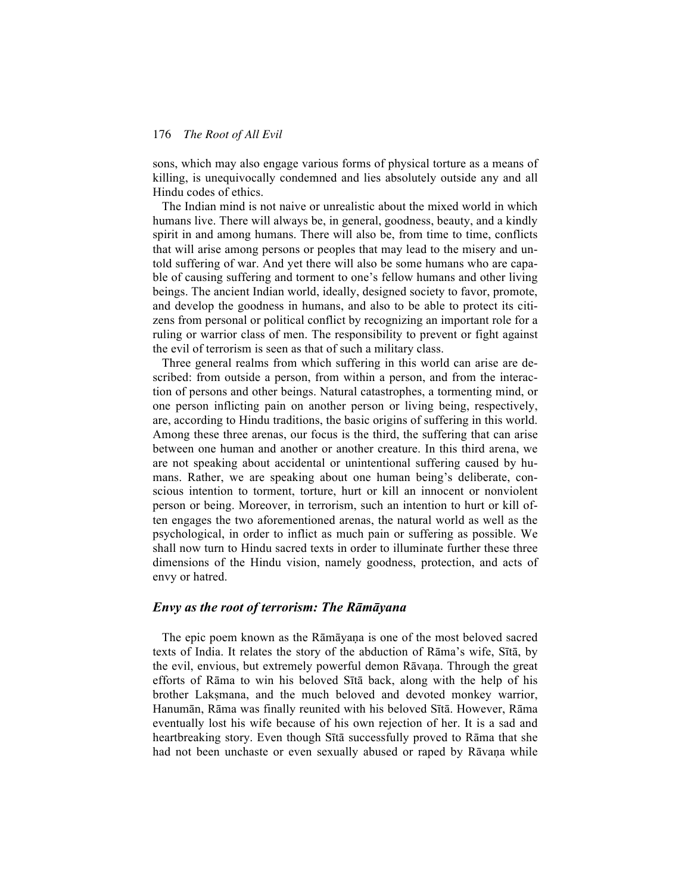sons, which may also engage various forms of physical torture as a means of killing, is unequivocally condemned and lies absolutely outside any and all Hindu codes of ethics.

 The Indian mind is not naive or unrealistic about the mixed world in which humans live. There will always be, in general, goodness, beauty, and a kindly spirit in and among humans. There will also be, from time to time, conflicts that will arise among persons or peoples that may lead to the misery and untold suffering of war. And yet there will also be some humans who are capable of causing suffering and torment to one's fellow humans and other living beings. The ancient Indian world, ideally, designed society to favor, promote, and develop the goodness in humans, and also to be able to protect its citizens from personal or political conflict by recognizing an important role for a ruling or warrior class of men. The responsibility to prevent or fight against the evil of terrorism is seen as that of such a military class.

 Three general realms from which suffering in this world can arise are described: from outside a person, from within a person, and from the interaction of persons and other beings. Natural catastrophes, a tormenting mind, or one person inflicting pain on another person or living being, respectively, are, according to Hindu traditions, the basic origins of suffering in this world. Among these three arenas, our focus is the third, the suffering that can arise between one human and another or another creature. In this third arena, we are not speaking about accidental or unintentional suffering caused by humans. Rather, we are speaking about one human being's deliberate, conscious intention to torment, torture, hurt or kill an innocent or nonviolent person or being. Moreover, in terrorism, such an intention to hurt or kill often engages the two aforementioned arenas, the natural world as well as the psychological, in order to inflict as much pain or suffering as possible. We shall now turn to Hindu sacred texts in order to illuminate further these three dimensions of the Hindu vision, namely goodness, protection, and acts of envy or hatred.

# *Envy as the root of terrorism: The Rāmāyana*

 The epic poem known as the Rāmāyaṇa is one of the most beloved sacred texts of India. It relates the story of the abduction of Rāma's wife, Sītā, by the evil, envious, but extremely powerful demon Rāvaṇa. Through the great efforts of Rāma to win his beloved Sītā back, along with the help of his brother Lakṣmana, and the much beloved and devoted monkey warrior, Hanumān, Rāma was finally reunited with his beloved Sītā. However, Rāma eventually lost his wife because of his own rejection of her. It is a sad and heartbreaking story. Even though Sītā successfully proved to Rāma that she had not been unchaste or even sexually abused or raped by Rāvana while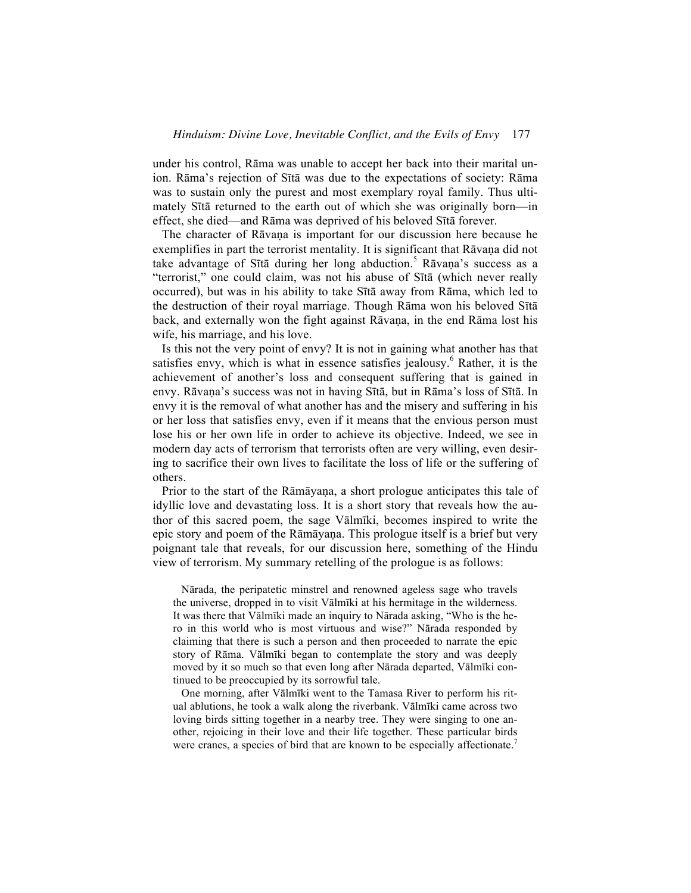under his control, Rāma was unable to accept her back into their marital union. Rāma's rejection of Sītā was due to the expectations of society: Rāma was to sustain only the purest and most exemplary royal family. Thus ultimately Sītā returned to the earth out of which she was originally born—in effect, she died—and Rāma was deprived of his beloved Sītā forever.

The character of Rāvana is important for our discussion here because he exemplifies in part the terrorist mentality. It is significant that Rāvana did not take advantage of Sītā during her long abduction.<sup>5</sup> Rāvaṇa's success as a "terrorist," one could claim, was not his abuse of Sītā (which never really occurred), but was in his ability to take Sītā away from Rāma, which led to the destruction of their royal marriage. Though Rāma won his beloved Sītā back, and externally won the fight against Rāvaṇa, in the end Rāma lost his wife, his marriage, and his love.

 Is this not the very point of envy? It is not in gaining what another has that satisfies envy, which is what in essence satisfies jealousy.<sup>6</sup> Rather, it is the achievement of another's loss and consequent suffering that is gained in envy. Rāvaṇa's success was not in having Sītā, but in Rāma's loss of Sītā. In envy it is the removal of what another has and the misery and suffering in his or her loss that satisfies envy, even if it means that the envious person must lose his or her own life in order to achieve its objective. Indeed, we see in modern day acts of terrorism that terrorists often are very willing, even desiring to sacrifice their own lives to facilitate the loss of life or the suffering of others.

 Prior to the start of the Rāmāyaṇa, a short prologue anticipates this tale of idyllic love and devastating loss. It is a short story that reveals how the author of this sacred poem, the sage Vālmīki, becomes inspired to write the epic story and poem of the Rāmāyaṇa. This prologue itself is a brief but very poignant tale that reveals, for our discussion here, something of the Hindu view of terrorism. My summary retelling of the prologue is as follows:

 Nārada, the peripatetic minstrel and renowned ageless sage who travels the universe, dropped in to visit Vālmīki at his hermitage in the wilderness. It was there that Vālmīki made an inquiry to Nārada asking, "Who is the hero in this world who is most virtuous and wise?" Nārada responded by claiming that there is such a person and then proceeded to narrate the epic story of Rāma. Vālmīki began to contemplate the story and was deeply moved by it so much so that even long after Nārada departed, Vālmīki continued to be preoccupied by its sorrowful tale.

 One morning, after Vālmīki went to the Tamasa River to perform his ritual ablutions, he took a walk along the riverbank. Vālmīki came across two loving birds sitting together in a nearby tree. They were singing to one another, rejoicing in their love and their life together. These particular birds were cranes, a species of bird that are known to be especially affectionate.<sup>7</sup>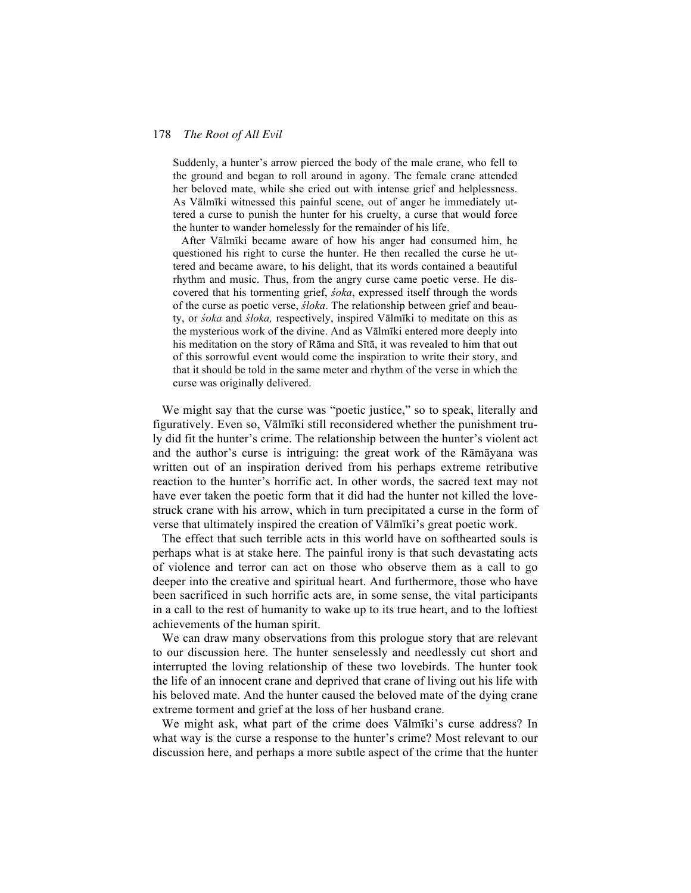Suddenly, a hunter's arrow pierced the body of the male crane, who fell to the ground and began to roll around in agony. The female crane attended her beloved mate, while she cried out with intense grief and helplessness. As Vālmīki witnessed this painful scene, out of anger he immediately uttered a curse to punish the hunter for his cruelty, a curse that would force the hunter to wander homelessly for the remainder of his life.

 After Vālmīki became aware of how his anger had consumed him, he questioned his right to curse the hunter. He then recalled the curse he uttered and became aware, to his delight, that its words contained a beautiful rhythm and music. Thus, from the angry curse came poetic verse. He discovered that his tormenting grief, *śoka*, expressed itself through the words of the curse as poetic verse, *śloka*. The relationship between grief and beauty, or *śoka* and *śloka,* respectively, inspired Vālmīki to meditate on this as the mysterious work of the divine. And as Vālmīki entered more deeply into his meditation on the story of Rāma and Sītā, it was revealed to him that out of this sorrowful event would come the inspiration to write their story, and that it should be told in the same meter and rhythm of the verse in which the curse was originally delivered.

We might say that the curse was "poetic justice," so to speak, literally and figuratively. Even so, Vālmīki still reconsidered whether the punishment truly did fit the hunter's crime. The relationship between the hunter's violent act and the author's curse is intriguing: the great work of the Rāmāyana was written out of an inspiration derived from his perhaps extreme retributive reaction to the hunter's horrific act. In other words, the sacred text may not have ever taken the poetic form that it did had the hunter not killed the lovestruck crane with his arrow, which in turn precipitated a curse in the form of verse that ultimately inspired the creation of Vālmīki's great poetic work.

 The effect that such terrible acts in this world have on softhearted souls is perhaps what is at stake here. The painful irony is that such devastating acts of violence and terror can act on those who observe them as a call to go deeper into the creative and spiritual heart. And furthermore, those who have been sacrificed in such horrific acts are, in some sense, the vital participants in a call to the rest of humanity to wake up to its true heart, and to the loftiest achievements of the human spirit.

 We can draw many observations from this prologue story that are relevant to our discussion here. The hunter senselessly and needlessly cut short and interrupted the loving relationship of these two lovebirds. The hunter took the life of an innocent crane and deprived that crane of living out his life with his beloved mate. And the hunter caused the beloved mate of the dying crane extreme torment and grief at the loss of her husband crane.

 We might ask, what part of the crime does Vālmīki's curse address? In what way is the curse a response to the hunter's crime? Most relevant to our discussion here, and perhaps a more subtle aspect of the crime that the hunter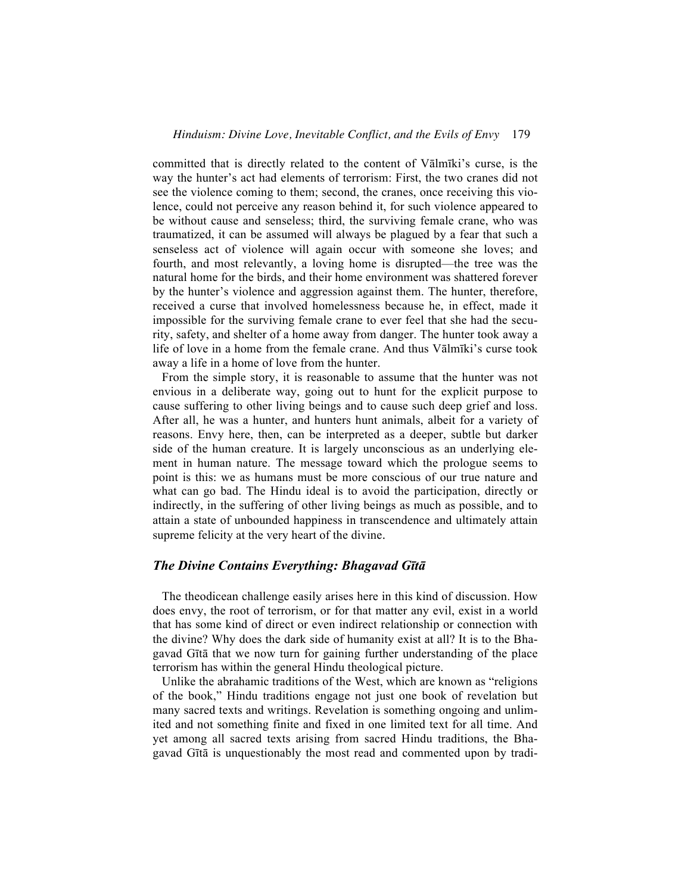committed that is directly related to the content of Vālmīki's curse, is the way the hunter's act had elements of terrorism: First, the two cranes did not see the violence coming to them; second, the cranes, once receiving this violence, could not perceive any reason behind it, for such violence appeared to be without cause and senseless; third, the surviving female crane, who was traumatized, it can be assumed will always be plagued by a fear that such a senseless act of violence will again occur with someone she loves; and fourth, and most relevantly, a loving home is disrupted—the tree was the natural home for the birds, and their home environment was shattered forever by the hunter's violence and aggression against them. The hunter, therefore, received a curse that involved homelessness because he, in effect, made it impossible for the surviving female crane to ever feel that she had the security, safety, and shelter of a home away from danger. The hunter took away a life of love in a home from the female crane. And thus Vālmīki's curse took away a life in a home of love from the hunter.

 From the simple story, it is reasonable to assume that the hunter was not envious in a deliberate way, going out to hunt for the explicit purpose to cause suffering to other living beings and to cause such deep grief and loss. After all, he was a hunter, and hunters hunt animals, albeit for a variety of reasons. Envy here, then, can be interpreted as a deeper, subtle but darker side of the human creature. It is largely unconscious as an underlying element in human nature. The message toward which the prologue seems to point is this: we as humans must be more conscious of our true nature and what can go bad. The Hindu ideal is to avoid the participation, directly or indirectly, in the suffering of other living beings as much as possible, and to attain a state of unbounded happiness in transcendence and ultimately attain supreme felicity at the very heart of the divine.

# *The Divine Contains Everything: Bhagavad Gītā*

 The theodicean challenge easily arises here in this kind of discussion. How does envy, the root of terrorism, or for that matter any evil, exist in a world that has some kind of direct or even indirect relationship or connection with the divine? Why does the dark side of humanity exist at all? It is to the Bhagavad Gītā that we now turn for gaining further understanding of the place terrorism has within the general Hindu theological picture.

 Unlike the abrahamic traditions of the West, which are known as "religions of the book," Hindu traditions engage not just one book of revelation but many sacred texts and writings. Revelation is something ongoing and unlimited and not something finite and fixed in one limited text for all time. And yet among all sacred texts arising from sacred Hindu traditions, the Bhagavad Gītā is unquestionably the most read and commented upon by tradi-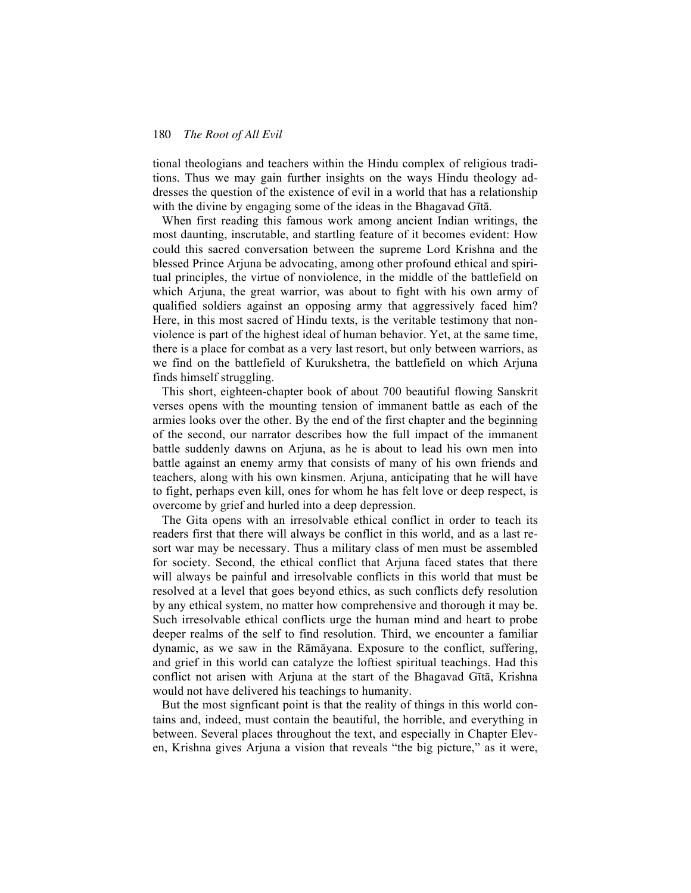tional theologians and teachers within the Hindu complex of religious traditions. Thus we may gain further insights on the ways Hindu theology addresses the question of the existence of evil in a world that has a relationship with the divine by engaging some of the ideas in the Bhagavad Gītā.

 When first reading this famous work among ancient Indian writings, the most daunting, inscrutable, and startling feature of it becomes evident: How could this sacred conversation between the supreme Lord Krishna and the blessed Prince Arjuna be advocating, among other profound ethical and spiritual principles, the virtue of nonviolence, in the middle of the battlefield on which Arjuna, the great warrior, was about to fight with his own army of qualified soldiers against an opposing army that aggressively faced him? Here, in this most sacred of Hindu texts, is the veritable testimony that nonviolence is part of the highest ideal of human behavior. Yet, at the same time, there is a place for combat as a very last resort, but only between warriors, as we find on the battlefield of Kurukshetra, the battlefield on which Arjuna finds himself struggling.

 This short, eighteen-chapter book of about 700 beautiful flowing Sanskrit verses opens with the mounting tension of immanent battle as each of the armies looks over the other. By the end of the first chapter and the beginning of the second, our narrator describes how the full impact of the immanent battle suddenly dawns on Arjuna, as he is about to lead his own men into battle against an enemy army that consists of many of his own friends and teachers, along with his own kinsmen. Arjuna, anticipating that he will have to fight, perhaps even kill, ones for whom he has felt love or deep respect, is overcome by grief and hurled into a deep depression.

 The Gita opens with an irresolvable ethical conflict in order to teach its readers first that there will always be conflict in this world, and as a last resort war may be necessary. Thus a military class of men must be assembled for society. Second, the ethical conflict that Arjuna faced states that there will always be painful and irresolvable conflicts in this world that must be resolved at a level that goes beyond ethics, as such conflicts defy resolution by any ethical system, no matter how comprehensive and thorough it may be. Such irresolvable ethical conflicts urge the human mind and heart to probe deeper realms of the self to find resolution. Third, we encounter a familiar dynamic, as we saw in the Rāmāyana. Exposure to the conflict, suffering, and grief in this world can catalyze the loftiest spiritual teachings. Had this conflict not arisen with Arjuna at the start of the Bhagavad Gītā, Krishna would not have delivered his teachings to humanity.

 But the most signficant point is that the reality of things in this world contains and, indeed, must contain the beautiful, the horrible, and everything in between. Several places throughout the text, and especially in Chapter Eleven, Krishna gives Arjuna a vision that reveals "the big picture," as it were,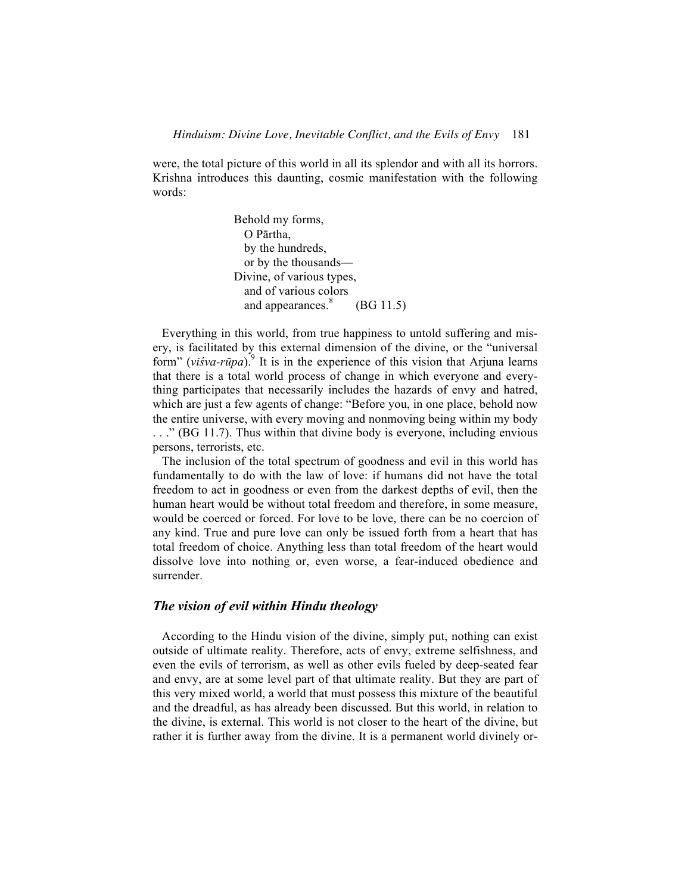were, the total picture of this world in all its splendor and with all its horrors. Krishna introduces this daunting, cosmic manifestation with the following words:

> Behold my forms, O Pārtha, by the hundreds, or by the thousands— Divine, of various types, and of various colors and appearances. $\delta$  (BG 11.5)

 Everything in this world, from true happiness to untold suffering and misery, is facilitated by this external dimension of the divine, or the "universal form" (*viśva-rūpa*).9 It is in the experience of this vision that Arjuna learns that there is a total world process of change in which everyone and everything participates that necessarily includes the hazards of envy and hatred, which are just a few agents of change: "Before you, in one place, behold now the entire universe, with every moving and nonmoving being within my body . . ." (BG 11.7). Thus within that divine body is everyone, including envious persons, terrorists, etc.

 The inclusion of the total spectrum of goodness and evil in this world has fundamentally to do with the law of love: if humans did not have the total freedom to act in goodness or even from the darkest depths of evil, then the human heart would be without total freedom and therefore, in some measure, would be coerced or forced. For love to be love, there can be no coercion of any kind. True and pure love can only be issued forth from a heart that has total freedom of choice. Anything less than total freedom of the heart would dissolve love into nothing or, even worse, a fear-induced obedience and surrender.

## *The vision of evil within Hindu theology*

 According to the Hindu vision of the divine, simply put, nothing can exist outside of ultimate reality. Therefore, acts of envy, extreme selfishness, and even the evils of terrorism, as well as other evils fueled by deep-seated fear and envy, are at some level part of that ultimate reality. But they are part of this very mixed world, a world that must possess this mixture of the beautiful and the dreadful, as has already been discussed. But this world, in relation to the divine, is external. This world is not closer to the heart of the divine, but rather it is further away from the divine. It is a permanent world divinely or-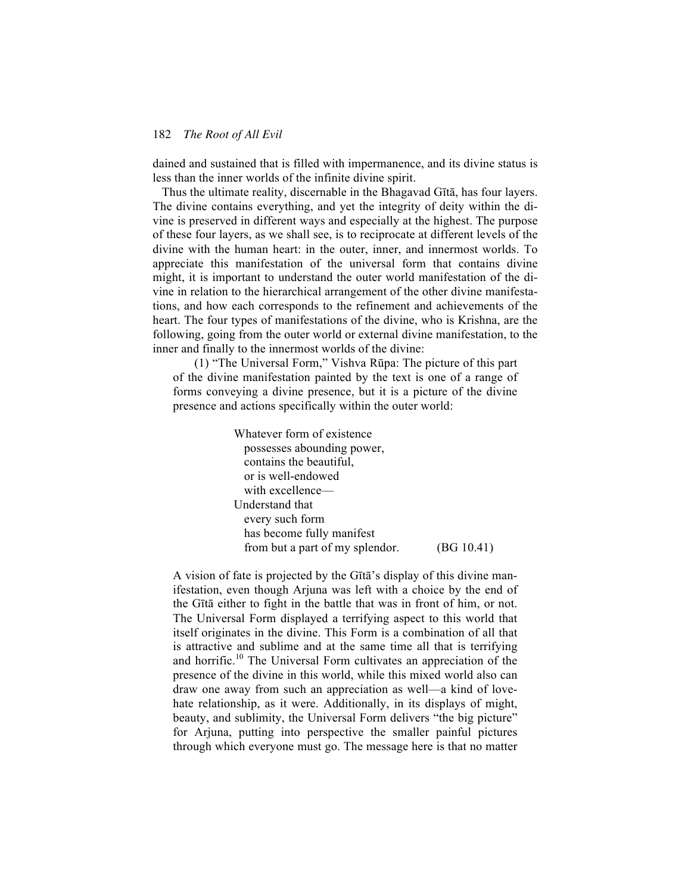dained and sustained that is filled with impermanence, and its divine status is less than the inner worlds of the infinite divine spirit.

 Thus the ultimate reality, discernable in the Bhagavad Gītā, has four layers. The divine contains everything, and yet the integrity of deity within the divine is preserved in different ways and especially at the highest. The purpose of these four layers, as we shall see, is to reciprocate at different levels of the divine with the human heart: in the outer, inner, and innermost worlds. To appreciate this manifestation of the universal form that contains divine might, it is important to understand the outer world manifestation of the divine in relation to the hierarchical arrangement of the other divine manifestations, and how each corresponds to the refinement and achievements of the heart. The four types of manifestations of the divine, who is Krishna, are the following, going from the outer world or external divine manifestation, to the inner and finally to the innermost worlds of the divine:

(1) "The Universal Form," Vishva Rūpa: The picture of this part of the divine manifestation painted by the text is one of a range of forms conveying a divine presence, but it is a picture of the divine presence and actions specifically within the outer world:

> Whatever form of existence possesses abounding power, contains the beautiful, or is well-endowed with excellence— Understand that every such form has become fully manifest from but a part of my splendor. (BG 10.41)

A vision of fate is projected by the Gītā's display of this divine manifestation, even though Arjuna was left with a choice by the end of the Gītā either to fight in the battle that was in front of him, or not. The Universal Form displayed a terrifying aspect to this world that itself originates in the divine. This Form is a combination of all that is attractive and sublime and at the same time all that is terrifying and horrific.<sup>10</sup> The Universal Form cultivates an appreciation of the presence of the divine in this world, while this mixed world also can draw one away from such an appreciation as well—a kind of lovehate relationship, as it were. Additionally, in its displays of might, beauty, and sublimity, the Universal Form delivers "the big picture" for Arjuna, putting into perspective the smaller painful pictures through which everyone must go. The message here is that no matter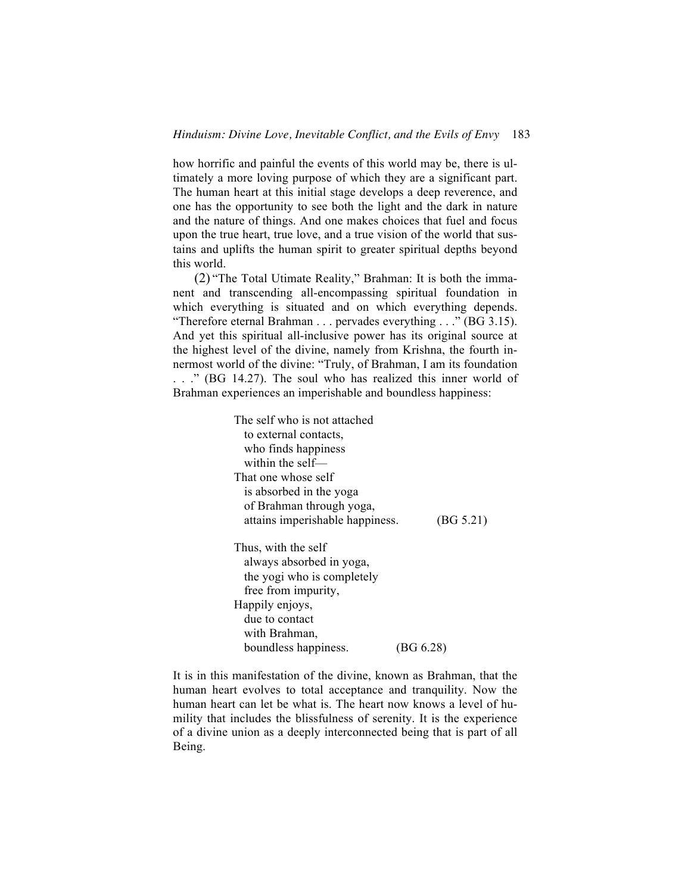how horrific and painful the events of this world may be, there is ultimately a more loving purpose of which they are a significant part. The human heart at this initial stage develops a deep reverence, and one has the opportunity to see both the light and the dark in nature and the nature of things. And one makes choices that fuel and focus upon the true heart, true love, and a true vision of the world that sustains and uplifts the human spirit to greater spiritual depths beyond this world.

(2) "The Total Utimate Reality," Brahman: It is both the immanent and transcending all-encompassing spiritual foundation in which everything is situated and on which everything depends. "Therefore eternal Brahman . . . pervades everything . . ." (BG 3.15). And yet this spiritual all-inclusive power has its original source at the highest level of the divine, namely from Krishna, the fourth innermost world of the divine: "Truly, of Brahman, I am its foundation . . ." (BG 14.27). The soul who has realized this inner world of Brahman experiences an imperishable and boundless happiness:

> The self who is not attached to external contacts, who finds happiness within the self— That one whose self is absorbed in the yoga of Brahman through yoga, attains imperishable happiness. (BG 5.21) Thus, with the self always absorbed in yoga, the yogi who is completely free from impurity, Happily enjoys, due to contact with Brahman, boundless happiness. (BG 6.28)

It is in this manifestation of the divine, known as Brahman, that the human heart evolves to total acceptance and tranquility. Now the human heart can let be what is. The heart now knows a level of humility that includes the blissfulness of serenity. It is the experience of a divine union as a deeply interconnected being that is part of all Being.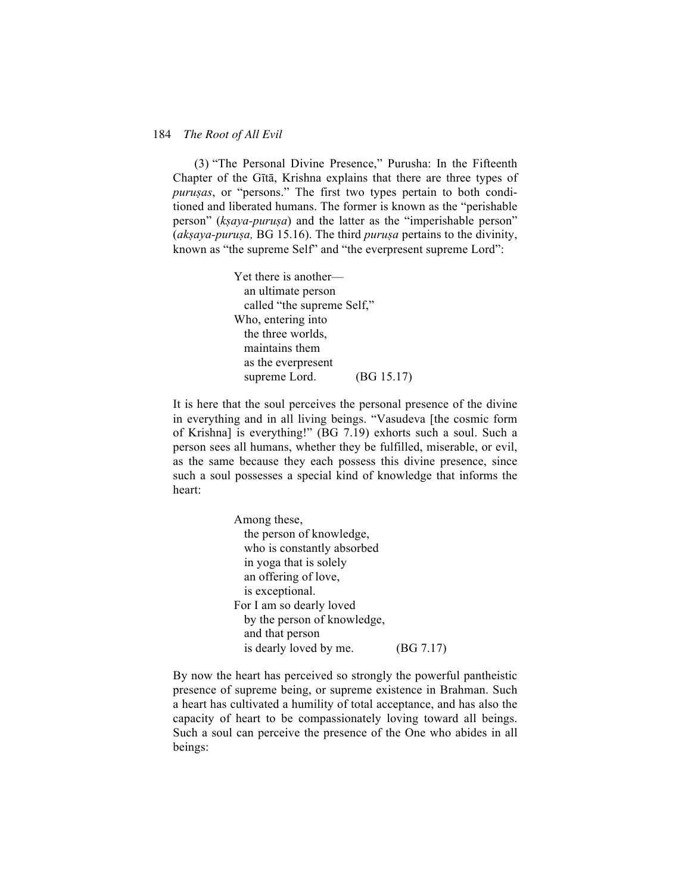(3) "The Personal Divine Presence," Purusha: In the Fifteenth Chapter of the Gītā, Krishna explains that there are three types of *puruṣas*, or "persons." The first two types pertain to both conditioned and liberated humans. The former is known as the "perishable person" (*kṣaya-puruṣa*) and the latter as the "imperishable person" (*akṣaya-puruṣa,* BG 15.16). The third *puruṣa* pertains to the divinity, known as "the supreme Self" and "the everpresent supreme Lord":

> Yet there is another an ultimate person called "the supreme Self," Who, entering into the three worlds, maintains them as the everpresent supreme Lord. (BG 15.17)

It is here that the soul perceives the personal presence of the divine in everything and in all living beings. "Vasudeva [the cosmic form of Krishna] is everything!" (BG 7.19) exhorts such a soul. Such a person sees all humans, whether they be fulfilled, miserable, or evil, as the same because they each possess this divine presence, since such a soul possesses a special kind of knowledge that informs the heart:

> Among these, the person of knowledge, who is constantly absorbed in yoga that is solely an offering of love, is exceptional. For I am so dearly loved by the person of knowledge, and that person is dearly loved by me. (BG 7.17)

By now the heart has perceived so strongly the powerful pantheistic presence of supreme being, or supreme existence in Brahman. Such a heart has cultivated a humility of total acceptance, and has also the capacity of heart to be compassionately loving toward all beings. Such a soul can perceive the presence of the One who abides in all beings: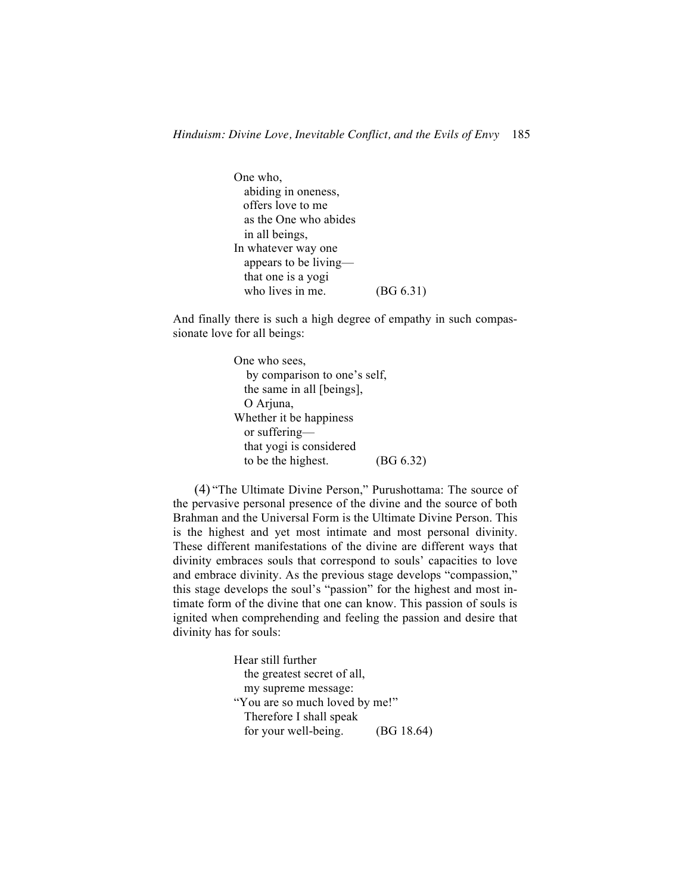One who, abiding in oneness, offers love to me as the One who abides in all beings, In whatever way one appears to be living that one is a yogi who lives in me. (BG 6.31)

And finally there is such a high degree of empathy in such compassionate love for all beings:

```
One who sees, 
   by comparison to one's self, 
  the same in all [beings], 
 O Arjuna,
Whether it be happiness
  or suffering—
  that yogi is considered 
 to be the highest. (BG 6.32)
```
(4) "The Ultimate Divine Person," Purushottama: The source of the pervasive personal presence of the divine and the source of both Brahman and the Universal Form is the Ultimate Divine Person. This is the highest and yet most intimate and most personal divinity. These different manifestations of the divine are different ways that divinity embraces souls that correspond to souls' capacities to love and embrace divinity. As the previous stage develops "compassion," this stage develops the soul's "passion" for the highest and most intimate form of the divine that one can know. This passion of souls is ignited when comprehending and feeling the passion and desire that divinity has for souls:

> Hear still further the greatest secret of all, my supreme message: "You are so much loved by me!" Therefore I shall speak for your well-being. (BG 18.64)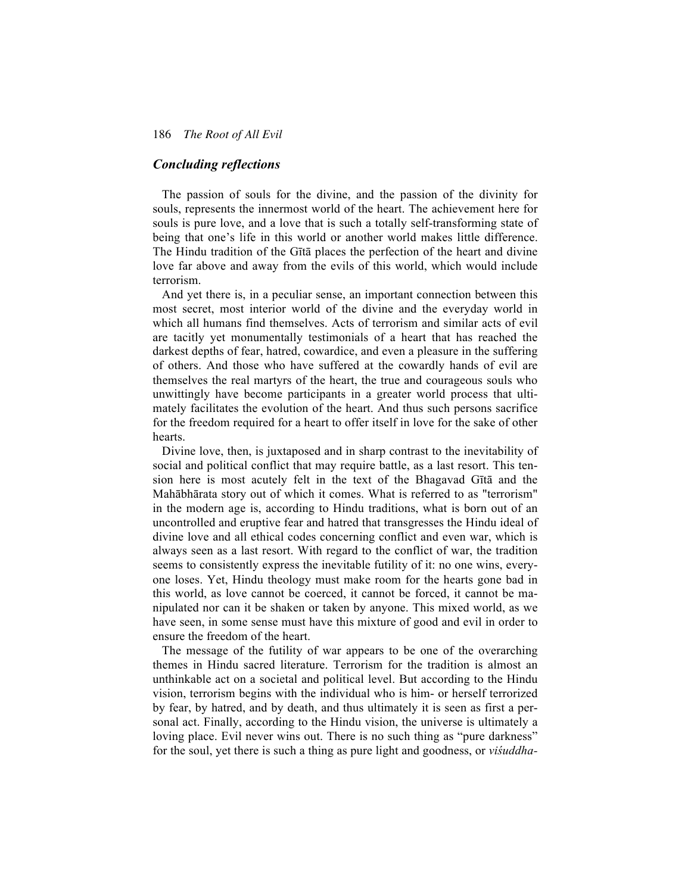# *Concluding reflections*

The passion of souls for the divine, and the passion of the divinity for souls, represents the innermost world of the heart. The achievement here for souls is pure love, and a love that is such a totally self-transforming state of being that one's life in this world or another world makes little difference. The Hindu tradition of the Gītā places the perfection of the heart and divine love far above and away from the evils of this world, which would include terrorism.

 And yet there is, in a peculiar sense, an important connection between this most secret, most interior world of the divine and the everyday world in which all humans find themselves. Acts of terrorism and similar acts of evil are tacitly yet monumentally testimonials of a heart that has reached the darkest depths of fear, hatred, cowardice, and even a pleasure in the suffering of others. And those who have suffered at the cowardly hands of evil are themselves the real martyrs of the heart, the true and courageous souls who unwittingly have become participants in a greater world process that ultimately facilitates the evolution of the heart. And thus such persons sacrifice for the freedom required for a heart to offer itself in love for the sake of other hearts.

 Divine love, then, is juxtaposed and in sharp contrast to the inevitability of social and political conflict that may require battle, as a last resort. This tension here is most acutely felt in the text of the Bhagavad Gītā and the Mahābhārata story out of which it comes. What is referred to as "terrorism" in the modern age is, according to Hindu traditions, what is born out of an uncontrolled and eruptive fear and hatred that transgresses the Hindu ideal of divine love and all ethical codes concerning conflict and even war, which is always seen as a last resort. With regard to the conflict of war, the tradition seems to consistently express the inevitable futility of it: no one wins, everyone loses. Yet, Hindu theology must make room for the hearts gone bad in this world, as love cannot be coerced, it cannot be forced, it cannot be manipulated nor can it be shaken or taken by anyone. This mixed world, as we have seen, in some sense must have this mixture of good and evil in order to ensure the freedom of the heart.

 The message of the futility of war appears to be one of the overarching themes in Hindu sacred literature. Terrorism for the tradition is almost an unthinkable act on a societal and political level. But according to the Hindu vision, terrorism begins with the individual who is him- or herself terrorized by fear, by hatred, and by death, and thus ultimately it is seen as first a personal act. Finally, according to the Hindu vision, the universe is ultimately a loving place. Evil never wins out. There is no such thing as "pure darkness" for the soul, yet there is such a thing as pure light and goodness, or *viśuddha-*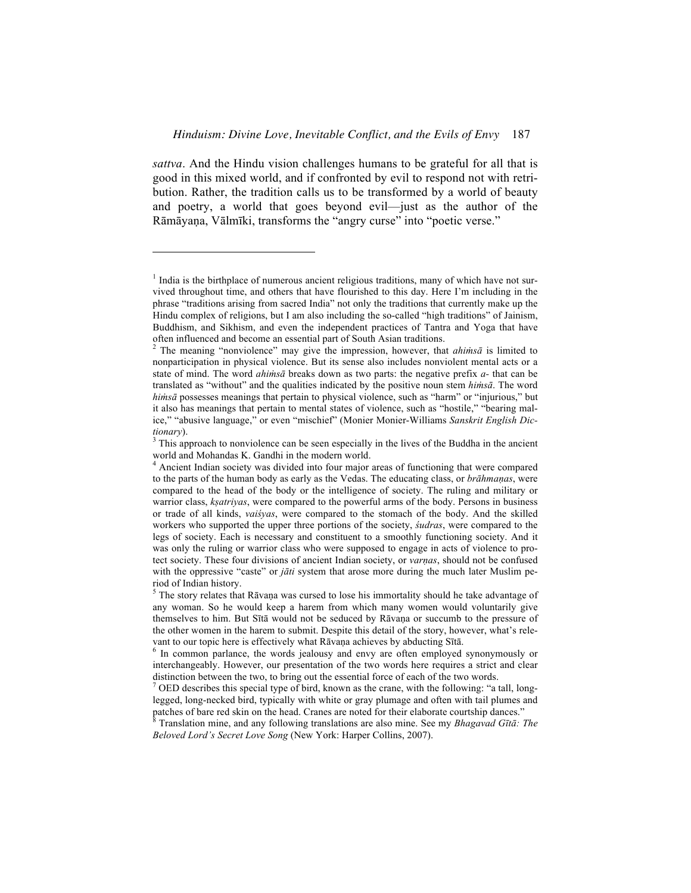*sattva*. And the Hindu vision challenges humans to be grateful for all that is good in this mixed world, and if confronted by evil to respond not with retribution. Rather, the tradition calls us to be transformed by a world of beauty and poetry, a world that goes beyond evil—just as the author of the Rāmāyaṇa, Vālmīki, transforms the "angry curse" into "poetic verse."

<u>.</u>

 $<sup>1</sup>$  India is the birthplace of numerous ancient religious traditions, many of which have not sur-</sup> vived throughout time, and others that have flourished to this day. Here I'm including in the phrase "traditions arising from sacred India" not only the traditions that currently make up the Hindu complex of religions, but I am also including the so-called "high traditions" of Jainism, Buddhism, and Sikhism, and even the independent practices of Tantra and Yoga that have often influenced and become an essential part of South Asian traditions. 2

The meaning "nonviolence" may give the impression, however, that *ahiṁsā* is limited to nonparticipation in physical violence. But its sense also includes nonviolent mental acts or a state of mind. The word *ahiṁsā* breaks down as two parts: the negative prefix *a-* that can be translated as "without" and the qualities indicated by the positive noun stem *hiṁsā*. The word *hiṁsā* possesses meanings that pertain to physical violence, such as "harm" or "injurious," but it also has meanings that pertain to mental states of violence, such as "hostile," "bearing malice," "abusive language," or even "mischief" (Monier Monier-Williams *Sanskrit English Dictionary*).

 $3$  This approach to nonviolence can be seen especially in the lives of the Buddha in the ancient world and Mohandas K. Gandhi in the modern world. 4

<sup>&</sup>lt;sup>4</sup> Ancient Indian society was divided into four major areas of functioning that were compared to the parts of the human body as early as the Vedas. The educating class, or *brāhmaṇas*, were compared to the head of the body or the intelligence of society. The ruling and military or warrior class, *kṣatriyas*, were compared to the powerful arms of the body. Persons in business or trade of all kinds, *vaiśyas*, were compared to the stomach of the body. And the skilled workers who supported the upper three portions of the society, *śudras*, were compared to the legs of society. Each is necessary and constituent to a smoothly functioning society. And it was only the ruling or warrior class who were supposed to engage in acts of violence to protect society. These four divisions of ancient Indian society, or *varṇas*, should not be confused with the oppressive "caste" or *jāti* system that arose more during the much later Muslim period of Indian history.

 $5$  The story relates that Rāvaṇa was cursed to lose his immortality should he take advantage of any woman. So he would keep a harem from which many women would voluntarily give themselves to him. But Sītā would not be seduced by Rāvaṇa or succumb to the pressure of the other women in the harem to submit. Despite this detail of the story, however, what's relevant to our topic here is effectively what Rāvaṇa achieves by abducting Sītā.<br><sup>6</sup> In common parlanea, the words jealousy and envy are often employed.

In common parlance, the words jealousy and envy are often employed synonymously or interchangeably. However, our presentation of the two words here requires a strict and clear distinction between the two, to bring out the essential force of each of the two words.

OED describes this special type of bird, known as the crane, with the following: "a tall, longlegged, long-necked bird, typically with white or gray plumage and often with tail plumes and patches of bare red skin on the head. Cranes are noted for their elaborate courtship dances."<br><sup>8</sup> Translation mine, and any following translations are also mine. See my *Phagmad Gita*:

Translation mine, and any following translations are also mine. See my *Bhagavad Gītā: The Beloved Lord's Secret Love Song* (New York: Harper Collins, 2007).